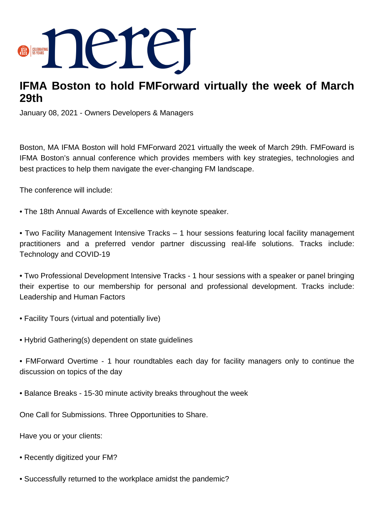

## **IFMA Boston to hold FMForward virtually the week of March 29th**

January 08, 2021 - Owners Developers & Managers

Boston, MA IFMA Boston will hold FMForward 2021 virtually the week of March 29th. FMFoward is IFMA Boston's annual conference which provides members with key strategies, technologies and best practices to help them navigate the ever-changing FM landscape.

The conference will include:

• The 18th Annual Awards of Excellence with keynote speaker.

• Two Facility Management Intensive Tracks – 1 hour sessions featuring local facility management practitioners and a preferred vendor partner discussing real-life solutions. Tracks include: Technology and COVID-19

• Two Professional Development Intensive Tracks - 1 hour sessions with a speaker or panel bringing their expertise to our membership for personal and professional development. Tracks include: Leadership and Human Factors

- Facility Tours (virtual and potentially live)
- Hybrid Gathering(s) dependent on state guidelines

• FMForward Overtime - 1 hour roundtables each day for facility managers only to continue the discussion on topics of the day

• Balance Breaks - 15-30 minute activity breaks throughout the week

One Call for Submissions. Three Opportunities to Share.

Have you or your clients:

- Recently digitized your FM?
- Successfully returned to the workplace amidst the pandemic?